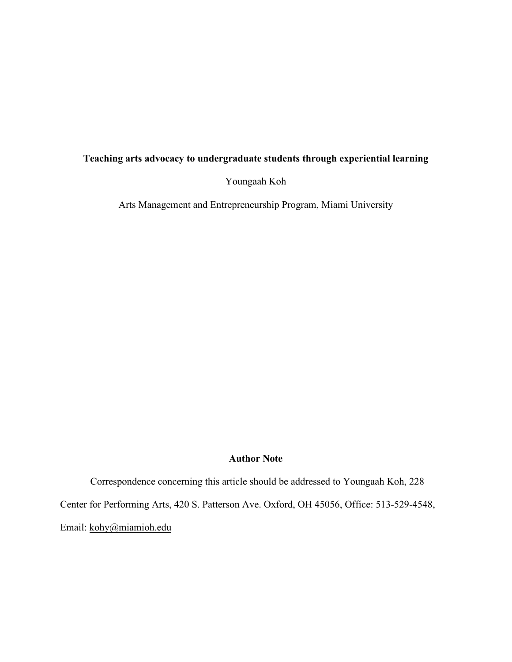# **Teaching arts advocacy to undergraduate students through experiential learning**

Youngaah Koh

Arts Management and Entrepreneurship Program, Miami University

### **Author Note**

Correspondence concerning this article should be addressed to Youngaah Koh, 228 Center for Performing Arts, 420 S. Patterson Ave. Oxford, OH 45056, Office: 513-529-4548, Email: [kohy@miamioh.edu](mailto:kohy@miamioh.edu)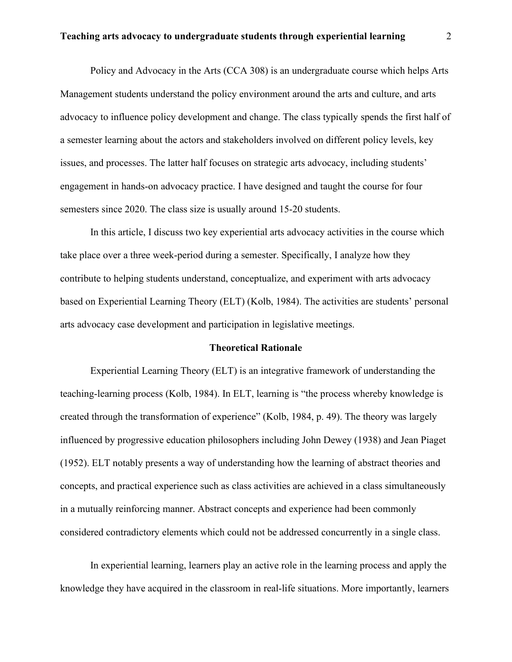Policy and Advocacy in the Arts (CCA 308) is an undergraduate course which helps Arts Management students understand the policy environment around the arts and culture, and arts advocacy to influence policy development and change. The class typically spends the first half of a semester learning about the actors and stakeholders involved on different policy levels, key issues, and processes. The latter half focuses on strategic arts advocacy, including students' engagement in hands-on advocacy practice. I have designed and taught the course for four semesters since 2020. The class size is usually around 15-20 students.

In this article, I discuss two key experiential arts advocacy activities in the course which take place over a three week-period during a semester. Specifically, I analyze how they contribute to helping students understand, conceptualize, and experiment with arts advocacy based on Experiential Learning Theory (ELT) (Kolb, 1984). The activities are students' personal arts advocacy case development and participation in legislative meetings.

### **Theoretical Rationale**

Experiential Learning Theory (ELT) is an integrative framework of understanding the teaching-learning process (Kolb, 1984). In ELT, learning is "the process whereby knowledge is created through the transformation of experience" (Kolb, 1984, p. 49). The theory was largely influenced by progressive education philosophers including John Dewey (1938) and Jean Piaget (1952). ELT notably presents a way of understanding how the learning of abstract theories and concepts, and practical experience such as class activities are achieved in a class simultaneously in a mutually reinforcing manner. Abstract concepts and experience had been commonly considered contradictory elements which could not be addressed concurrently in a single class.

In experiential learning, learners play an active role in the learning process and apply the knowledge they have acquired in the classroom in real-life situations. More importantly, learners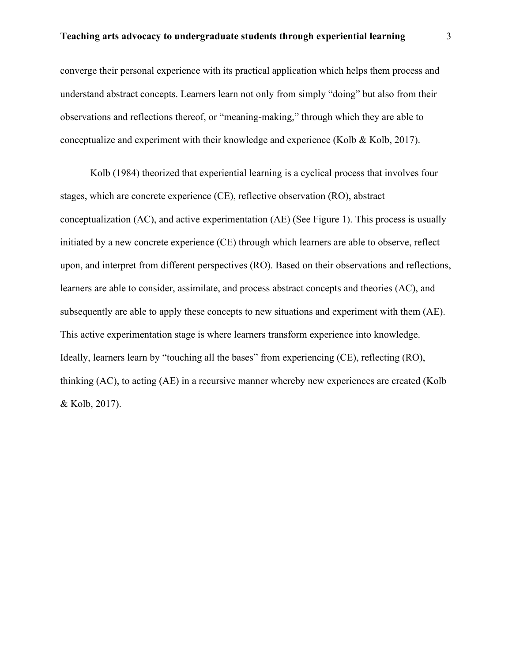converge their personal experience with its practical application which helps them process and understand abstract concepts. Learners learn not only from simply "doing" but also from their observations and reflections thereof, or "meaning-making," through which they are able to conceptualize and experiment with their knowledge and experience (Kolb & Kolb, 2017).

Kolb (1984) theorized that experiential learning is a cyclical process that involves four stages, which are concrete experience (CE), reflective observation (RO), abstract conceptualization (AC), and active experimentation (AE) (See Figure 1). This process is usually initiated by a new concrete experience (CE) through which learners are able to observe, reflect upon, and interpret from different perspectives (RO). Based on their observations and reflections, learners are able to consider, assimilate, and process abstract concepts and theories (AC), and subsequently are able to apply these concepts to new situations and experiment with them (AE). This active experimentation stage is where learners transform experience into knowledge. Ideally, learners learn by "touching all the bases" from experiencing (CE), reflecting (RO), thinking (AC), to acting (AE) in a recursive manner whereby new experiences are created (Kolb & Kolb, 2017).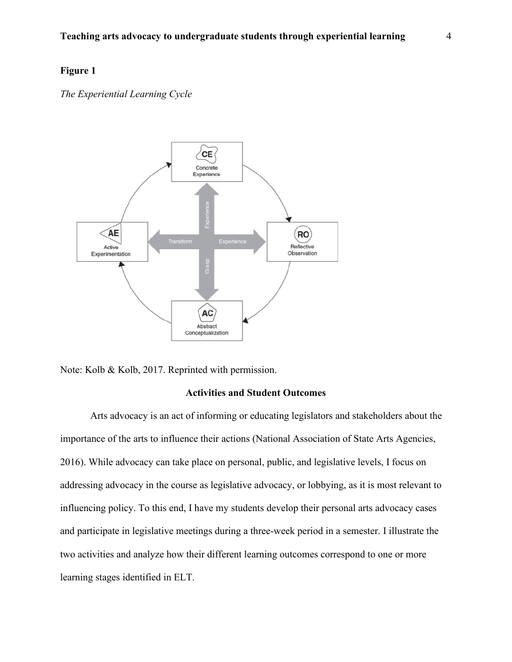## **Figure 1**

*The Experiential Learning Cycle* 





## **Activities and Student Outcomes**

Arts advocacy is an act of informing or educating legislators and stakeholders about the importance of the arts to influence their actions (National Association of State Arts Agencies, 2016). While advocacy can take place on personal, public, and legislative levels, I focus on addressing advocacy in the course as legislative advocacy, or lobbying, as it is most relevant to influencing policy. To this end, I have my students develop their personal arts advocacy cases and participate in legislative meetings during a three-week period in a semester. I illustrate the two activities and analyze how their different learning outcomes correspond to one or more learning stages identified in ELT.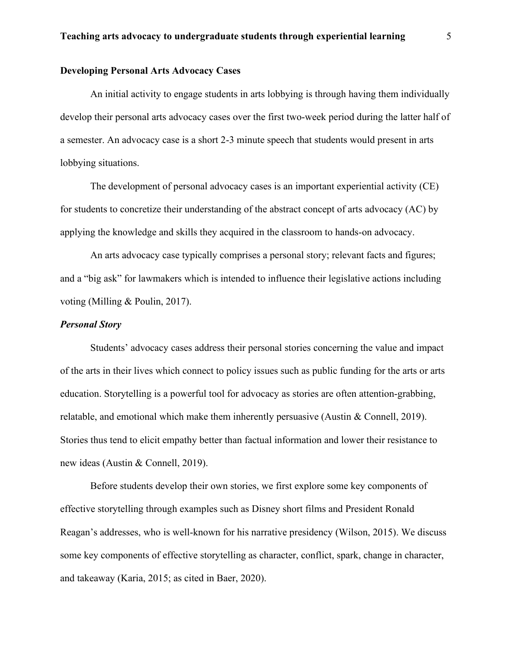## **Developing Personal Arts Advocacy Cases**

An initial activity to engage students in arts lobbying is through having them individually develop their personal arts advocacy cases over the first two-week period during the latter half of a semester. An advocacy case is a short 2-3 minute speech that students would present in arts lobbying situations.

The development of personal advocacy cases is an important experiential activity (CE) for students to concretize their understanding of the abstract concept of arts advocacy (AC) by applying the knowledge and skills they acquired in the classroom to hands-on advocacy.

An arts advocacy case typically comprises a personal story; relevant facts and figures; and a "big ask" for lawmakers which is intended to influence their legislative actions including voting (Milling & Poulin, 2017).

### *Personal Story*

Students' advocacy cases address their personal stories concerning the value and impact of the arts in their lives which connect to policy issues such as public funding for the arts or arts education. Storytelling is a powerful tool for advocacy as stories are often attention-grabbing, relatable, and emotional which make them inherently persuasive (Austin & Connell, 2019). Stories thus tend to elicit empathy better than factual information and lower their resistance to new ideas (Austin & Connell, 2019).

Before students develop their own stories, we first explore some key components of effective storytelling through examples such as Disney short films and President Ronald Reagan's addresses, who is well-known for his narrative presidency (Wilson, 2015). We discuss some key components of effective storytelling as character, conflict, spark, change in character, and takeaway (Karia, 2015; as cited in Baer, 2020).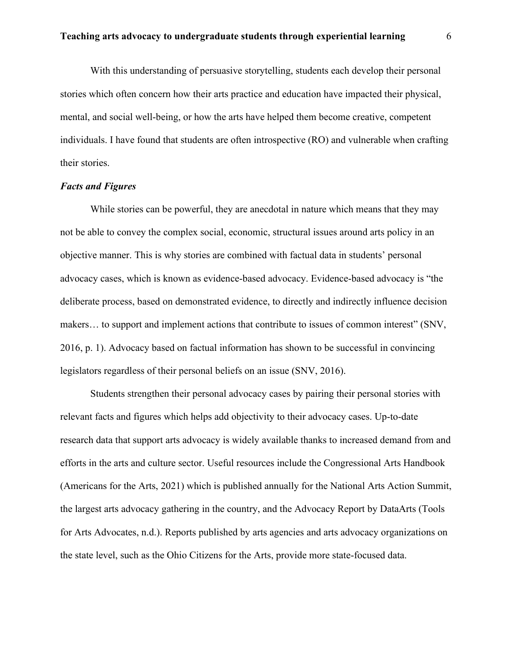With this understanding of persuasive storytelling, students each develop their personal stories which often concern how their arts practice and education have impacted their physical, mental, and social well-being, or how the arts have helped them become creative, competent individuals. I have found that students are often introspective (RO) and vulnerable when crafting their stories.

#### *Facts and Figures*

While stories can be powerful, they are anecdotal in nature which means that they may not be able to convey the complex social, economic, structural issues around arts policy in an objective manner. This is why stories are combined with factual data in students' personal advocacy cases, which is known as evidence-based advocacy. Evidence-based advocacy is "the deliberate process, based on demonstrated evidence, to directly and indirectly influence decision makers… to support and implement actions that contribute to issues of common interest" (SNV, 2016, p. 1). Advocacy based on factual information has shown to be successful in convincing legislators regardless of their personal beliefs on an issue (SNV, 2016).

Students strengthen their personal advocacy cases by pairing their personal stories with relevant facts and figures which helps add objectivity to their advocacy cases. Up-to-date research data that support arts advocacy is widely available thanks to increased demand from and efforts in the arts and culture sector. Useful resources include the Congressional Arts Handbook (Americans for the Arts, 2021) which is published annually for the National Arts Action Summit, the largest arts advocacy gathering in the country, and the Advocacy Report by DataArts (Tools for Arts Advocates, n.d.). Reports published by arts agencies and arts advocacy organizations on the state level, such as the Ohio Citizens for the Arts, provide more state-focused data.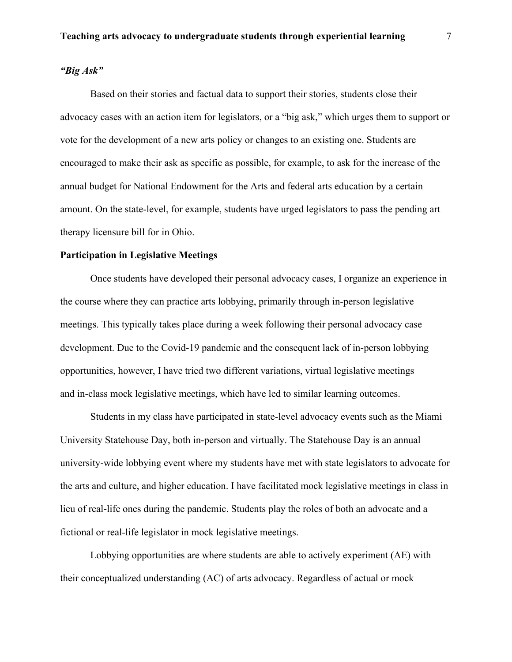## *"Big Ask"*

Based on their stories and factual data to support their stories, students close their advocacy cases with an action item for legislators, or a "big ask," which urges them to support or vote for the development of a new arts policy or changes to an existing one. Students are encouraged to make their ask as specific as possible, for example, to ask for the increase of the annual budget for National Endowment for the Arts and federal arts education by a certain amount. On the state-level, for example, students have urged legislators to pass the pending art therapy licensure bill for in Ohio.

#### **Participation in Legislative Meetings**

Once students have developed their personal advocacy cases, I organize an experience in the course where they can practice arts lobbying, primarily through in-person legislative meetings. This typically takes place during a week following their personal advocacy case development. Due to the Covid-19 pandemic and the consequent lack of in-person lobbying opportunities, however, I have tried two different variations, virtual legislative meetings and in-class mock legislative meetings, which have led to similar learning outcomes.

Students in my class have participated in state-level advocacy events such as the Miami University Statehouse Day, both in-person and virtually. The Statehouse Day is an annual university-wide lobbying event where my students have met with state legislators to advocate for the arts and culture, and higher education. I have facilitated mock legislative meetings in class in lieu of real-life ones during the pandemic. Students play the roles of both an advocate and a fictional or real-life legislator in mock legislative meetings.

Lobbying opportunities are where students are able to actively experiment (AE) with their conceptualized understanding (AC) of arts advocacy. Regardless of actual or mock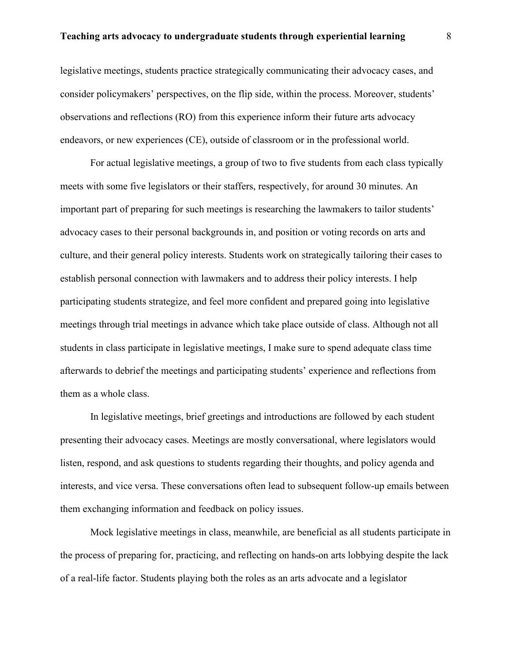legislative meetings, students practice strategically communicating their advocacy cases, and consider policymakers' perspectives, on the flip side, within the process. Moreover, students' observations and reflections (RO) from this experience inform their future arts advocacy endeavors, or new experiences (CE), outside of classroom or in the professional world.

For actual legislative meetings, a group of two to five students from each class typically meets with some five legislators or their staffers, respectively, for around 30 minutes. An important part of preparing for such meetings is researching the lawmakers to tailor students' advocacy cases to their personal backgrounds in, and position or voting records on arts and culture, and their general policy interests. Students work on strategically tailoring their cases to establish personal connection with lawmakers and to address their policy interests. I help participating students strategize, and feel more confident and prepared going into legislative meetings through trial meetings in advance which take place outside of class. Although not all students in class participate in legislative meetings, I make sure to spend adequate class time afterwards to debrief the meetings and participating students' experience and reflections from them as a whole class.

In legislative meetings, brief greetings and introductions are followed by each student presenting their advocacy cases. Meetings are mostly conversational, where legislators would listen, respond, and ask questions to students regarding their thoughts, and policy agenda and interests, and vice versa. These conversations often lead to subsequent follow-up emails between them exchanging information and feedback on policy issues.

Mock legislative meetings in class, meanwhile, are beneficial as all students participate in the process of preparing for, practicing, and reflecting on hands-on arts lobbying despite the lack of a real-life factor. Students playing both the roles as an arts advocate and a legislator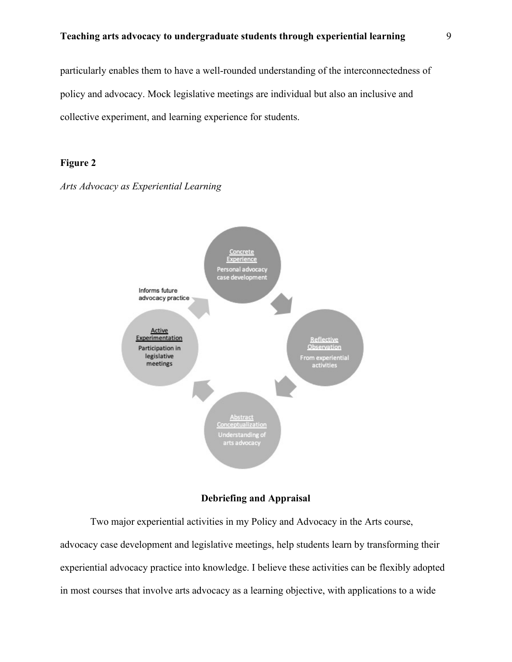particularly enables them to have a well-rounded understanding of the interconnectedness of policy and advocacy. Mock legislative meetings are individual but also an inclusive and collective experiment, and learning experience for students.

## **Figure 2**





## **Debriefing and Appraisal**

Two major experiential activities in my Policy and Advocacy in the Arts course, advocacy case development and legislative meetings, help students learn by transforming their experiential advocacy practice into knowledge. I believe these activities can be flexibly adopted in most courses that involve arts advocacy as a learning objective, with applications to a wide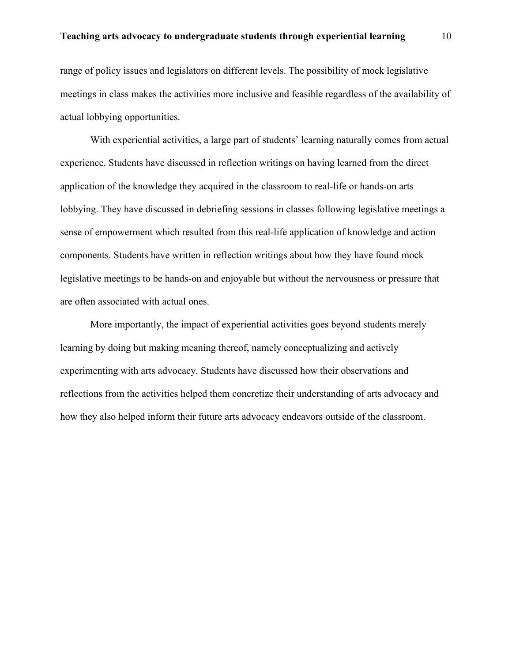range of policy issues and legislators on different levels. The possibility of mock legislative meetings in class makes the activities more inclusive and feasible regardless of the availability of actual lobbying opportunities.

With experiential activities, a large part of students' learning naturally comes from actual experience. Students have discussed in reflection writings on having learned from the direct application of the knowledge they acquired in the classroom to real-life or hands-on arts lobbying. They have discussed in debriefing sessions in classes following legislative meetings a sense of empowerment which resulted from this real-life application of knowledge and action components. Students have written in reflection writings about how they have found mock legislative meetings to be hands-on and enjoyable but without the nervousness or pressure that are often associated with actual ones.

More importantly, the impact of experiential activities goes beyond students merely learning by doing but making meaning thereof, namely conceptualizing and actively experimenting with arts advocacy. Students have discussed how their observations and reflections from the activities helped them concretize their understanding of arts advocacy and how they also helped inform their future arts advocacy endeavors outside of the classroom.